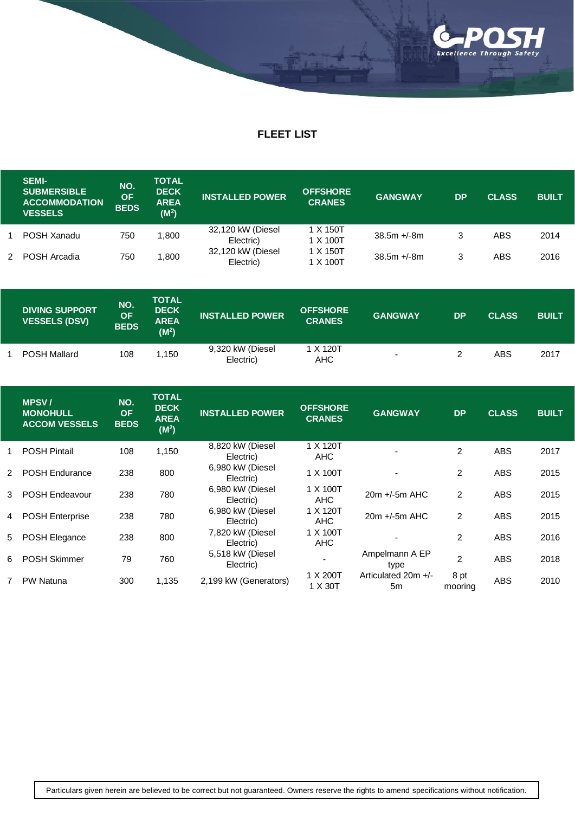

## **FLEET LIST**

| <b>SEMI-</b><br><b>SUBMERSIBLE</b><br><b>ACCOMMODATION</b><br><b>VESSELS</b> | NO.<br>OF.<br><b>BEDS</b> | TOTAL<br><b>DECK</b><br><b>AREA</b><br>(M <sup>2</sup> ) | <b>INSTALLED POWER</b>         | <b>OFFSHORE</b><br><b>CRANES</b> | <b>GANGWAY</b> | <b>DP</b> | <b>CLASS</b> | <b>BUILT</b> |
|------------------------------------------------------------------------------|---------------------------|----------------------------------------------------------|--------------------------------|----------------------------------|----------------|-----------|--------------|--------------|
| POSH Xanadu                                                                  | 750                       | 800. ا                                                   | 32,120 kW (Diesel<br>Electric) | 1 X 150T<br>1 X 100T             | $38.5m + 8m$   | 3         | ABS          | 2014         |
| POSH Arcadia                                                                 | 750                       | .800                                                     | 32,120 kW (Diesel<br>Electric) | 1 X 150T<br>1 X 100T             | $38.5m + 8m$   | 3         | ABS          | 2016         |

| <b>DIVING SUPPORT</b><br><b>VESSELS (DSV)</b> | NO.<br><b>OF</b><br><b>BEDS</b> | <b>TOTAL</b><br><b>DECK</b><br><b>AREA</b><br>(M <sup>2</sup> ) | <b>INSTALLED POWER</b>        | <b>OFFSHORE</b><br><b>CRANES</b> | <b>GANGWAY</b> | <b>DP</b> | <b>CLASS</b> | <b>BUILT</b> |
|-----------------------------------------------|---------------------------------|-----------------------------------------------------------------|-------------------------------|----------------------------------|----------------|-----------|--------------|--------------|
| <b>POSH Mallard</b>                           | 108                             | .150                                                            | 9,320 kW (Diesel<br>Electric) | 1 X 120T<br>AHC                  |                |           | ABS          | 2017         |

|               | <b>MPSV</b><br><b>MONOHULL</b><br><b>ACCOM VESSELS</b> | NO.<br><b>OF</b><br><b>BEDS</b> | <b>TOTAL</b><br><b>DECK</b><br><b>AREA</b><br>(M <sup>2</sup> ) | <b>INSTALLED POWER</b>        | <b>OFFSHORE</b><br><b>CRANES</b> | <b>GANGWAY</b>            | <b>DP</b>       | <b>CLASS</b> | <b>BUILT</b> |
|---------------|--------------------------------------------------------|---------------------------------|-----------------------------------------------------------------|-------------------------------|----------------------------------|---------------------------|-----------------|--------------|--------------|
|               | <b>POSH Pintail</b>                                    | 108                             | 1,150                                                           | 8,820 kW (Diesel<br>Electric) | 1 X 120T<br><b>AHC</b>           |                           | $\overline{2}$  | <b>ABS</b>   | 2017         |
| $\mathcal{P}$ | <b>POSH Endurance</b>                                  | 238                             | 800                                                             | 6,980 kW (Diesel<br>Electric) | 1 X 100T                         |                           | 2               | <b>ABS</b>   | 2015         |
| 3             | <b>POSH Endeavour</b>                                  | 238                             | 780                                                             | 6,980 kW (Diesel<br>Electric) | 1 X 100T<br><b>AHC</b>           | $20m + 5m$ AHC            | 2               | <b>ABS</b>   | 2015         |
| 4             | <b>POSH Enterprise</b>                                 | 238                             | 780                                                             | 6,980 kW (Diesel<br>Electric) | 1 X 120T<br><b>AHC</b>           | $20m +/-5m$ AHC           | 2               | <b>ABS</b>   | 2015         |
| 5             | POSH Elegance                                          | 238                             | 800                                                             | 7,820 kW (Diesel<br>Electric) | 1 X 100T<br><b>AHC</b>           |                           | 2               | <b>ABS</b>   | 2016         |
| 6.            | <b>POSH Skimmer</b>                                    | 79                              | 760                                                             | 5,518 kW (Diesel<br>Electric) |                                  | Ampelmann A EP<br>type    | $\overline{2}$  | <b>ABS</b>   | 2018         |
|               | <b>PW Natuna</b>                                       | 300                             | 1,135                                                           | 2,199 kW (Generators)         | 1 X 200T<br>1 X 30T              | Articulated 20m +/-<br>5m | 8 pt<br>mooring | <b>ABS</b>   | 2010         |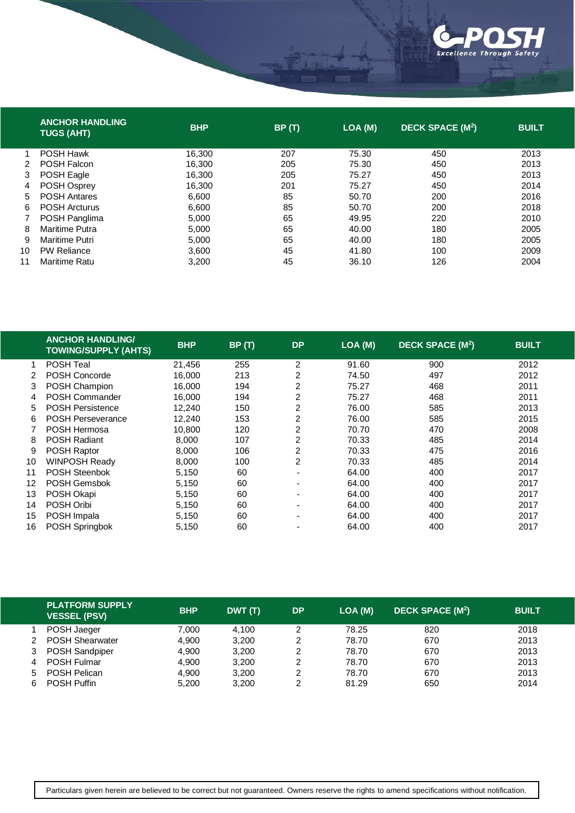

|               | <b>ANCHOR HANDLING</b><br><b>TUGS (AHT)</b> | <b>BHP</b> | BP(T) | LOA (M) | <b>DECK SPACE (M<sup>2</sup>)</b> | <b>BUILT</b> |
|---------------|---------------------------------------------|------------|-------|---------|-----------------------------------|--------------|
|               | <b>POSH Hawk</b>                            | 16.300     | 207   | 75.30   | 450                               | 2013         |
| $\mathcal{P}$ | POSH Falcon                                 | 16,300     | 205   | 75.30   | 450                               | 2013         |
| 3             | POSH Eagle                                  | 16.300     | 205   | 75.27   | 450                               | 2013         |
| 4             | POSH Osprey                                 | 16.300     | 201   | 75.27   | 450                               | 2014         |
| 5.            | <b>POSH Antares</b>                         | 6,600      | 85    | 50.70   | 200                               | 2016         |
| 6             | <b>POSH Arcturus</b>                        | 6.600      | 85    | 50.70   | 200                               | 2018         |
| 7             | POSH Panglima                               | 5,000      | 65    | 49.95   | 220                               | 2010         |
| 8             | <b>Maritime Putra</b>                       | 5.000      | 65    | 40.00   | 180                               | 2005         |
| 9             | Maritime Putri                              | 5,000      | 65    | 40.00   | 180                               | 2005         |
| 10            | <b>PW Reliance</b>                          | 3,600      | 45    | 41.80   | 100                               | 2009         |
| 11            | Maritime Ratu                               | 3,200      | 45    | 36.10   | 126                               | 2004         |

|    | <b>ANCHOR HANDLING/</b><br><b>TOWING/SUPPLY (AHTS)</b> | <b>BHP</b> | BP(T) | <b>DP</b>                | LOA (M) | <b>DECK SPACE (M<sup>2</sup>)</b> | <b>BUILT</b> |
|----|--------------------------------------------------------|------------|-------|--------------------------|---------|-----------------------------------|--------------|
|    | <b>POSH Teal</b>                                       | 21.456     | 255   | 2                        | 91.60   | 900                               | 2012         |
|    | <b>POSH Concorde</b>                                   | 16,000     | 213   | 2                        | 74.50   | 497                               | 2012         |
| 3  | POSH Champion                                          | 16.000     | 194   | 2                        | 75.27   | 468                               | 2011         |
| 4  | POSH Commander                                         | 16,000     | 194   | 2                        | 75.27   | 468                               | 2011         |
| 5. | <b>POSH Persistence</b>                                | 12.240     | 150   | 2                        | 76.00   | 585                               | 2013         |
| 6  | <b>POSH Perseverance</b>                               | 12.240     | 153   | 2                        | 76.00   | 585                               | 2015         |
|    | <b>POSH Hermosa</b>                                    | 10,800     | 120   | 2                        | 70.70   | 470                               | 2008         |
| 8  | <b>POSH Radiant</b>                                    | 8.000      | 107   | 2                        | 70.33   | 485                               | 2014         |
| 9  | POSH Raptor                                            | 8,000      | 106   | 2                        | 70.33   | 475                               | 2016         |
| 10 | <b>WINPOSH Ready</b>                                   | 8,000      | 100   | 2                        | 70.33   | 485                               | 2014         |
| 11 | <b>POSH Steenbok</b>                                   | 5,150      | 60    | $\overline{\phantom{0}}$ | 64.00   | 400                               | 2017         |
| 12 | POSH Gemsbok                                           | 5,150      | 60    | $\blacksquare$           | 64.00   | 400                               | 2017         |
| 13 | POSH Okapi                                             | 5,150      | 60    | $\overline{\phantom{0}}$ | 64.00   | 400                               | 2017         |
| 14 | POSH Oribi                                             | 5,150      | 60    | $\overline{\phantom{0}}$ | 64.00   | 400                               | 2017         |
| 15 | POSH Impala                                            | 5,150      | 60    | ٠                        | 64.00   | 400                               | 2017         |
| 16 | POSH Springbok                                         | 5,150      | 60    |                          | 64.00   | 400                               | 2017         |

|    | <b>PLATFORM SUPPLY</b><br><b>VESSEL (PSV)</b> | <b>BHP</b> | DWT (T) | <b>DP</b> | LOA (M) | DECK SPACE (M <sup>2</sup> ) | <b>BUILT</b> |
|----|-----------------------------------------------|------------|---------|-----------|---------|------------------------------|--------------|
|    | POSH Jaeger                                   | 7.000      | 4.100   |           | 78.25   | 820                          | 2018         |
|    | <b>POSH Shearwater</b>                        | 4.900      | 3,200   |           | 78.70   | 670                          | 2013         |
| 3  | POSH Sandpiper                                | 4.900      | 3.200   |           | 78.70   | 670                          | 2013         |
| 4  | <b>POSH Fulmar</b>                            | 4,900      | 3,200   |           | 78.70   | 670                          | 2013         |
| 5. | <b>POSH Pelican</b>                           | 4.900      | 3.200   |           | 78.70   | 670                          | 2013         |
| 6. | <b>POSH Puffin</b>                            | 5.200      | 3,200   |           | 81.29   | 650                          | 2014         |